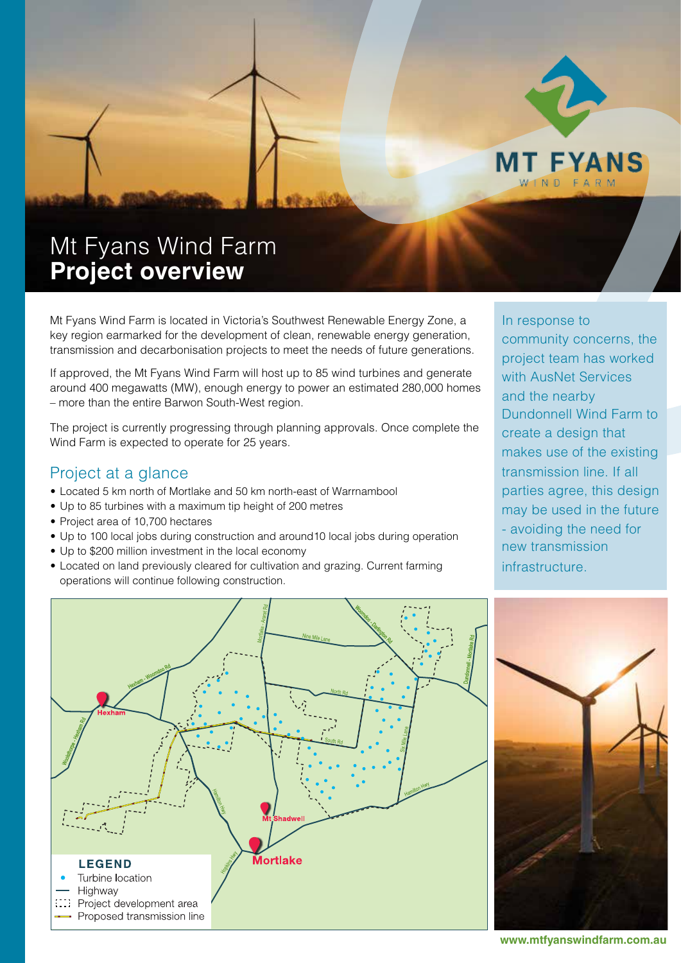

# Mt Fyans Wind Farm **Project overview**

Mt Fyans Wind Farm is located in Victoria's Southwest Renewable Energy Zone, a key region earmarked for the development of clean, renewable energy generation, transmission and decarbonisation projects to meet the needs of future generations.

If approved, the Mt Fyans Wind Farm will host up to 85 wind turbines and generate around 400 megawatts (MW), enough energy to power an estimated 280,000 homes - more than the entire Barwon South-West region.

The project is currently progressing through planning approvals. Once complete the Wind Farm is expected to operate for 25 years.

### Project at a glance

- Located 5 km north of Mortlake and 50 km north-east of Warrnambool
- Up to 85 turbines with a maximum tip height of 200 metres
- Project area of 10.700 hectares
- Up to 100 local jobs during construction and around10 local jobs during operation
- Up to \$200 million investment in the local economy
- Located on land previously cleared for cultivation and grazing. Current farming operations will continue following construction.

In response to community concerns, the project team has worked with AusNet Services and the nearby Dundonnell Wind Farm to create a design that makes use of the existing transmission line. If all parties agree, this design may be used in the future - avoiding the need for new transmission infrastructure.





**www.mtfyanswindfarm.com.au**